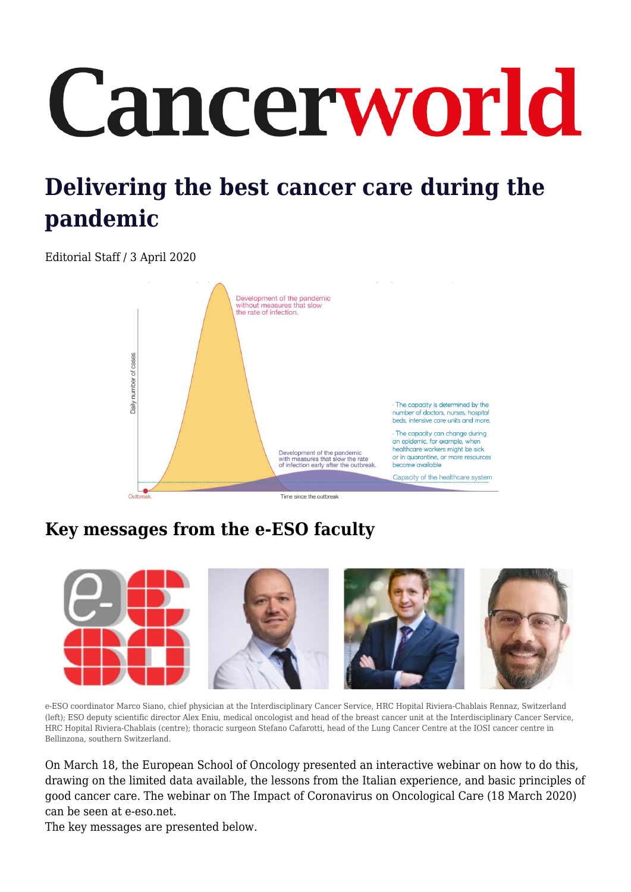# Cancerworld

## **Delivering the best cancer care during the pandemic**

Editorial Staff / 3 April 2020



### **Key messages from the e-ESO faculty**



e-ESO coordinator Marco Siano, chief physician at the Interdisciplinary Cancer Service, HRC Hopital Riviera-Chablais Rennaz, Switzerland (left); ESO deputy scientific director Alex Eniu, medical oncologist and head of the breast cancer unit at the Interdisciplinary Cancer Service, HRC Hopital Riviera-Chablais (centre); thoracic surgeon Stefano Cafarotti, head of the Lung Cancer Centre at the IOSI cancer centre in Bellinzona, southern Switzerland.

On March 18, the European School of Oncology presented an interactive webinar on how to do this, drawing on the limited data available, the lessons from the Italian experience, and basic principles of good cancer care. The webinar on The Impact of Coronavirus on Oncological Care (18 March 2020) can be seen at e-eso.net.

The key messages are presented below.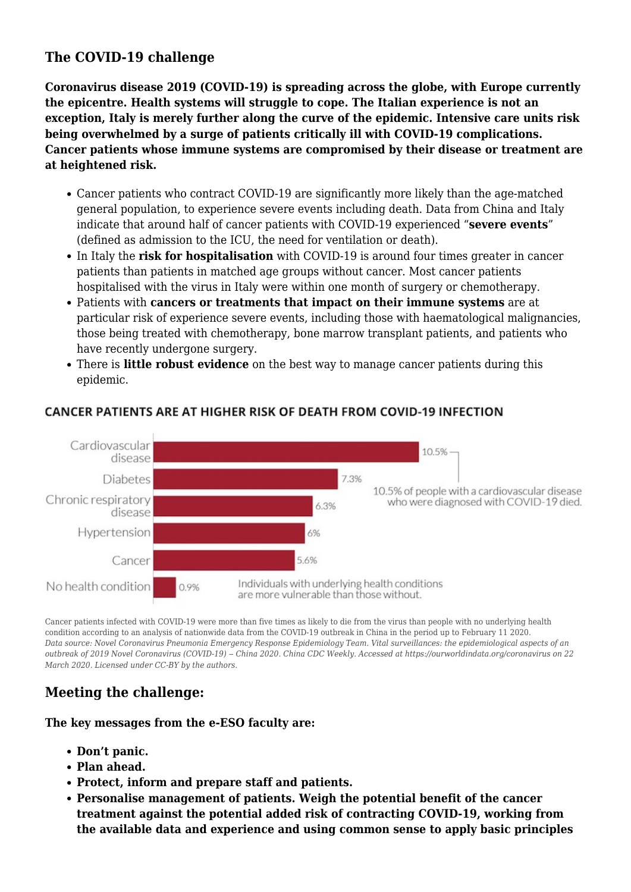#### **The COVID-19 challenge**

**Coronavirus disease 2019 (COVID-19) is spreading across the globe, with Europe currently the epicentre. Health systems will struggle to cope. The Italian experience is not an exception, Italy is merely further along the curve of the epidemic. Intensive care units risk being overwhelmed by a surge of patients critically ill with COVID-19 complications. Cancer patients whose immune systems are compromised by their disease or treatment are at heightened risk.**

- Cancer patients who contract COVID-19 are significantly more likely than the age-matched general population, to experience severe events including death. Data from China and Italy indicate that around half of cancer patients with COVID-19 experienced "**severe events**" (defined as admission to the ICU, the need for ventilation or death).
- In Italy the **risk for hospitalisation** with COVID-19 is around four times greater in cancer patients than patients in matched age groups without cancer. Most cancer patients hospitalised with the virus in Italy were within one month of surgery or chemotherapy.
- Patients with **cancers or treatments that impact on their immune systems** are at particular risk of experience severe events, including those with haematological malignancies, those being treated with chemotherapy, bone marrow transplant patients, and patients who have recently undergone surgery.
- There is **little robust evidence** on the best way to manage cancer patients during this epidemic.



#### CANCER PATIENTS ARE AT HIGHER RISK OF DEATH FROM COVID-19 INFECTION

Cancer patients infected with COVID-19 were more than five times as likely to die from the virus than people with no underlying health condition according to an analysis of nationwide data from the COVID-19 outbreak in China in the period up to February 11 2020. *Data source: Novel Coronavirus Pneumonia Emergency Response Epidemiology Team. Vital surveillances: the epidemiological aspects of an outbreak of 2019 Novel Coronavirus (COVID-19) ‒ China 2020. China CDC Weekly. Accessed at https://ourworldindata.org/coronavirus on 22 March 2020. Licensed under CC-BY by the authors.*

#### **Meeting the challenge:**

**The key messages from the e-ESO faculty are:**

- **Don't panic.**
- **Plan ahead.**
- **Protect, inform and prepare staff and patients.**
- **Personalise management of patients. Weigh the potential benefit of the cancer treatment against the potential added risk of contracting COVID-19, working from the available data and experience and using common sense to apply basic principles**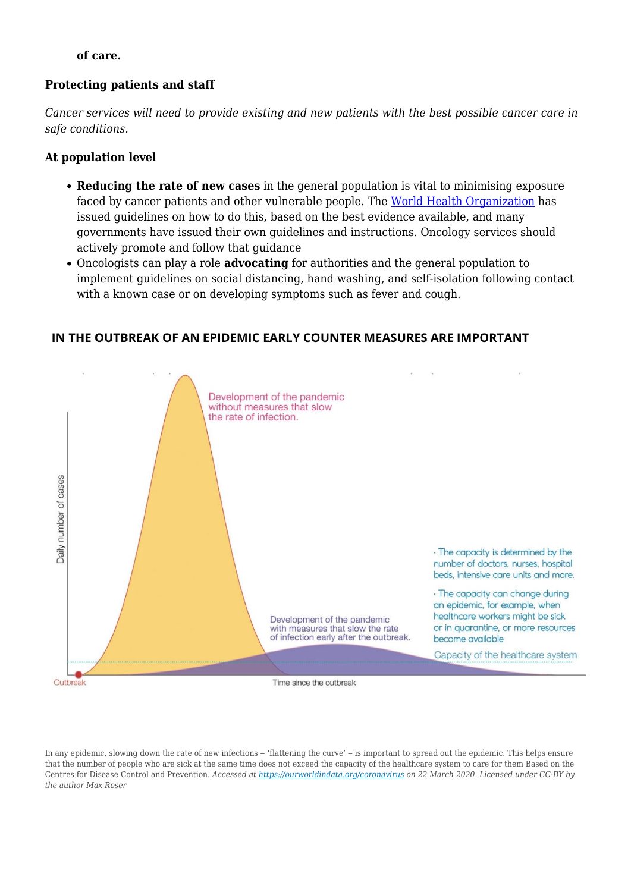#### **of care.**

#### **Protecting patients and staff**

*Cancer services will need to provide existing and new patients with the best possible cancer care in safe conditions.*

#### **At population level**

- **Reducing the rate of new cases** in the general population is vital to minimising exposure faced by cancer patients and other vulnerable people. The [World Health Organization](https://www.who.int) has issued guidelines on how to do this, based on the best evidence available, and many governments have issued their own guidelines and instructions. Oncology services should actively promote and follow that guidance
- Oncologists can play a role **advocating** for authorities and the general population to implement guidelines on social distancing, hand washing, and self-isolation following contact with a known case or on developing symptoms such as fever and cough.

#### IN THE OUTBREAK OF AN EPIDEMIC FARLY COUNTER MEASURES ARE IMPORTANT



In any epidemic, slowing down the rate of new infections – 'flattening the curve' – is important to spread out the epidemic. This helps ensure that the number of people who are sick at the same time does not exceed the capacity of the healthcare system to care for them Based on the Centres for Disease Control and Prevention. *Accessed at<https://ourworldindata.org/coronavirus> on 22 March 2020. Licensed under CC-BY by the author Max Roser*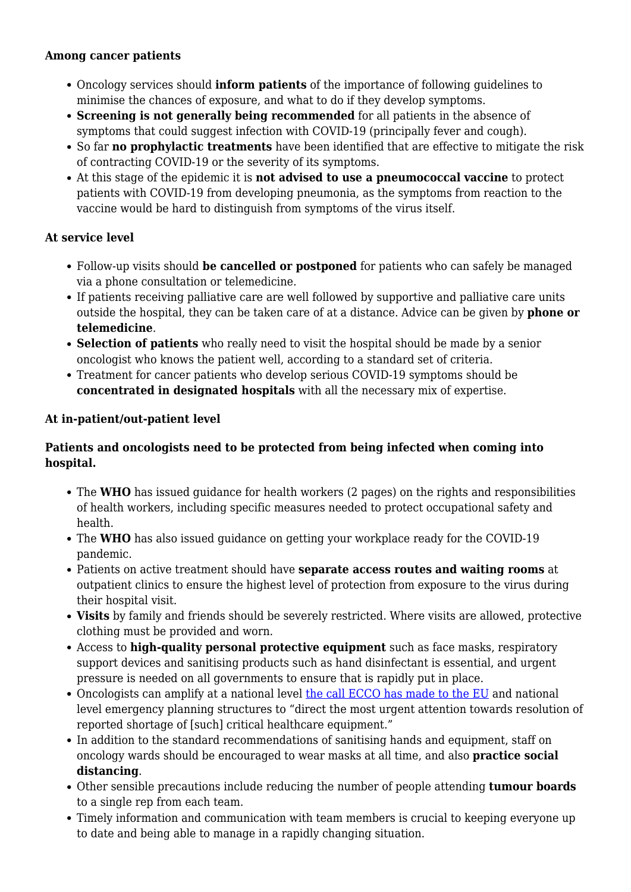#### **Among cancer patients**

- Oncology services should **inform patients** of the importance of following guidelines to minimise the chances of exposure, and what to do if they develop symptoms.
- **Screening is not generally being recommended** for all patients in the absence of symptoms that could suggest infection with COVID-19 (principally fever and cough).
- So far **no prophylactic treatments** have been identified that are effective to mitigate the risk of contracting COVID-19 or the severity of its symptoms.
- At this stage of the epidemic it is **not advised to use a pneumococcal vaccine** to protect patients with COVID-19 from developing pneumonia, as the symptoms from reaction to the vaccine would be hard to distinguish from symptoms of the virus itself.

#### **At service level**

- Follow-up visits should **be cancelled or postponed** for patients who can safely be managed via a phone consultation or telemedicine.
- If patients receiving palliative care are well followed by supportive and palliative care units outside the hospital, they can be taken care of at a distance. Advice can be given by **phone or telemedicine**.
- **Selection of patients** who really need to visit the hospital should be made by a senior oncologist who knows the patient well, according to a standard set of criteria.
- Treatment for cancer patients who develop serious COVID-19 symptoms should be **concentrated in designated hospitals** with all the necessary mix of expertise.

#### **At in-patient/out-patient level**

#### **Patients and oncologists need to be protected from being infected when coming into hospital.**

- The **WHO** has issued guidance for health workers (2 pages) on the rights and responsibilities of health workers, including specific measures needed to protect occupational safety and health.
- The **WHO** has also issued guidance on getting your workplace ready for the COVID-19 pandemic.
- Patients on active treatment should have **separate access routes and waiting rooms** at outpatient clinics to ensure the highest level of protection from exposure to the virus during their hospital visit.
- **Visits** by family and friends should be severely restricted. Where visits are allowed, protective clothing must be provided and worn.
- Access to **high-quality personal protective equipment** such as face masks, respiratory support devices and sanitising products such as hand disinfectant is essential, and urgent pressure is needed on all governments to ensure that is rapidly put in place.
- Oncologists can amplify at a national level [the call ECCO has made to the EU](https://www.ecco-org.eu/Global/News/Latest-News/2020/03/NEWS-Statement-on-COVID-19-from-the-European-Cancer-Organisation-Board-of-Directors) and national level emergency planning structures to "direct the most urgent attention towards resolution of reported shortage of [such] critical healthcare equipment."
- In addition to the standard recommendations of sanitising hands and equipment, staff on oncology wards should be encouraged to wear masks at all time, and also **practice social distancing**.
- Other sensible precautions include reducing the number of people attending **tumour boards** to a single rep from each team.
- Timely information and communication with team members is crucial to keeping everyone up to date and being able to manage in a rapidly changing situation.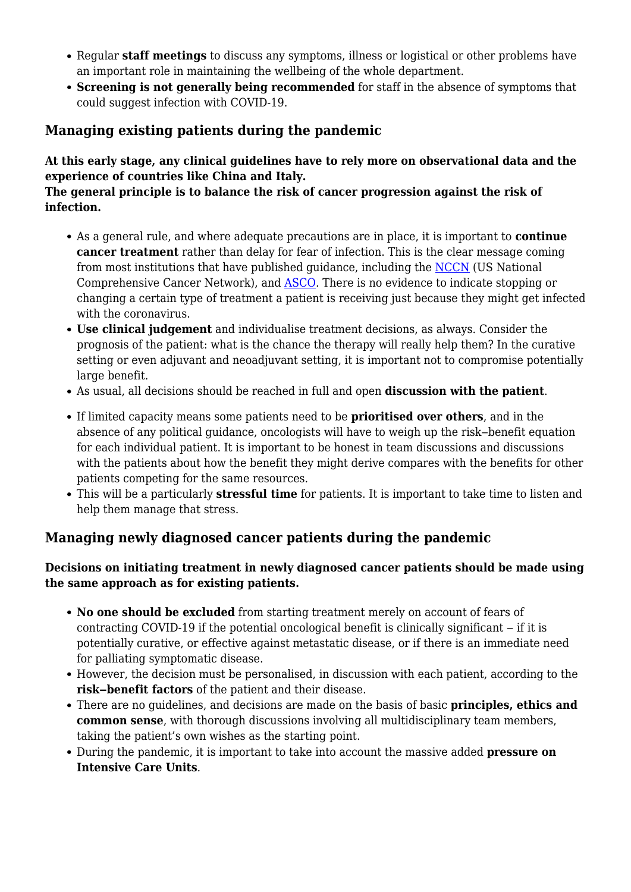- Regular **staff meetings** to discuss any symptoms, illness or logistical or other problems have an important role in maintaining the wellbeing of the whole department.
- **Screening is not generally being recommended** for staff in the absence of symptoms that could suggest infection with COVID-19.

#### **Managing existing patients during the pandemic**

#### **At this early stage, any clinical guidelines have to rely more on observational data and the experience of countries like China and Italy.**

#### **The general principle is to balance the risk of cancer progression against the risk of infection.**

- As a general rule, and where adequate precautions are in place, it is important to **continue cancer treatment** rather than delay for fear of infection. This is the clear message coming from most institutions that have published guidance, including the [NCCN](https://www.nccn.org/covid-19/) (US National Comprehensive Cancer Network), and **ASCO**. There is no evidence to indicate stopping or changing a certain type of treatment a patient is receiving just because they might get infected with the coronavirus.
- **Use clinical judgement** and individualise treatment decisions, as always. Consider the prognosis of the patient: what is the chance the therapy will really help them? In the curative setting or even adjuvant and neoadjuvant setting, it is important not to compromise potentially large benefit.
- As usual, all decisions should be reached in full and open **discussion with the patient**.
- If limited capacity means some patients need to be **prioritised over others**, and in the absence of any political guidance, oncologists will have to weigh up the risk-benefit equation for each individual patient. It is important to be honest in team discussions and discussions with the patients about how the benefit they might derive compares with the benefits for other patients competing for the same resources.
- This will be a particularly **stressful time** for patients. It is important to take time to listen and help them manage that stress.

#### **Managing newly diagnosed cancer patients during the pandemic**

#### **Decisions on initiating treatment in newly diagnosed cancer patients should be made using the same approach as for existing patients.**

- **No one should be excluded** from starting treatment merely on account of fears of contracting COVID-19 if the potential oncological benefit is clinically significant – if it is potentially curative, or effective against metastatic disease, or if there is an immediate need for palliating symptomatic disease.
- However, the decision must be personalised, in discussion with each patient, according to the risk-benefit factors of the patient and their disease.
- There are no guidelines, and decisions are made on the basis of basic **principles, ethics and common sense**, with thorough discussions involving all multidisciplinary team members, taking the patient's own wishes as the starting point.
- During the pandemic, it is important to take into account the massive added **pressure on Intensive Care Units**.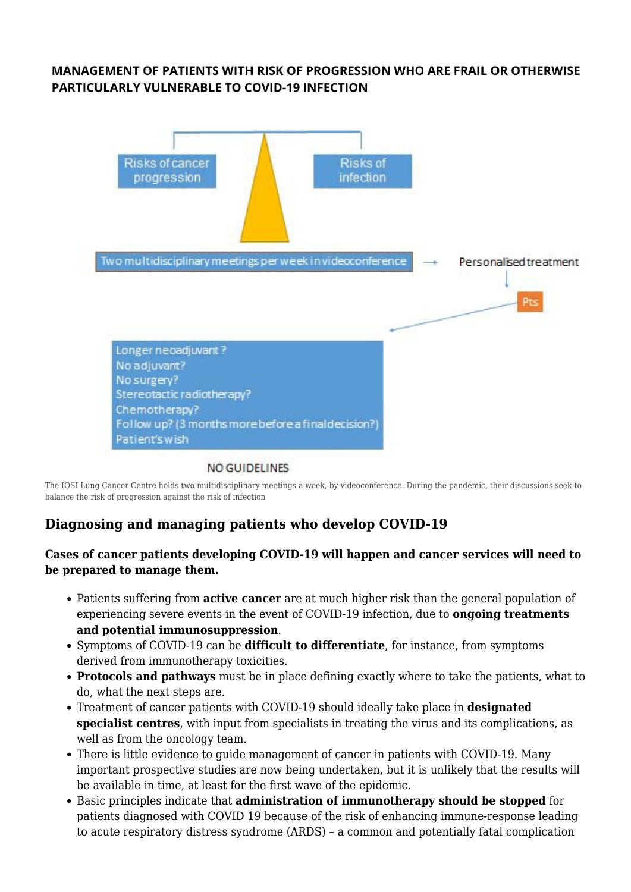#### **MANAGEMENT OF PATIENTS WITH RISK OF PROGRESSION WHO ARE FRAIL OR OTHERWISE PARTICULARLY VULNERABLE TO COVID-19 INFECTION**



#### NO GUIDELINES

The IOSI Lung Cancer Centre holds two multidisciplinary meetings a week, by videoconference. During the pandemic, their discussions seek to balance the risk of progression against the risk of infection

#### **Diagnosing and managing patients who develop COVID-19**

#### **Cases of cancer patients developing COVID-19 will happen and cancer services will need to be prepared to manage them.**

- Patients suffering from **active cancer** are at much higher risk than the general population of experiencing severe events in the event of COVID-19 infection, due to **ongoing treatments and potential immunosuppression**.
- Symptoms of COVID-19 can be **difficult to differentiate**, for instance, from symptoms derived from immunotherapy toxicities.
- **Protocols and pathways** must be in place defining exactly where to take the patients, what to do, what the next steps are.
- Treatment of cancer patients with COVID-19 should ideally take place in **designated specialist centres**, with input from specialists in treating the virus and its complications, as well as from the oncology team.
- There is little evidence to quide management of cancer in patients with COVID-19. Many important prospective studies are now being undertaken, but it is unlikely that the results will be available in time, at least for the first wave of the epidemic.
- Basic principles indicate that **administration of immunotherapy should be stopped** for patients diagnosed with COVID 19 because of the risk of enhancing immune-response leading to acute respiratory distress syndrome (ARDS) – a common and potentially fatal complication